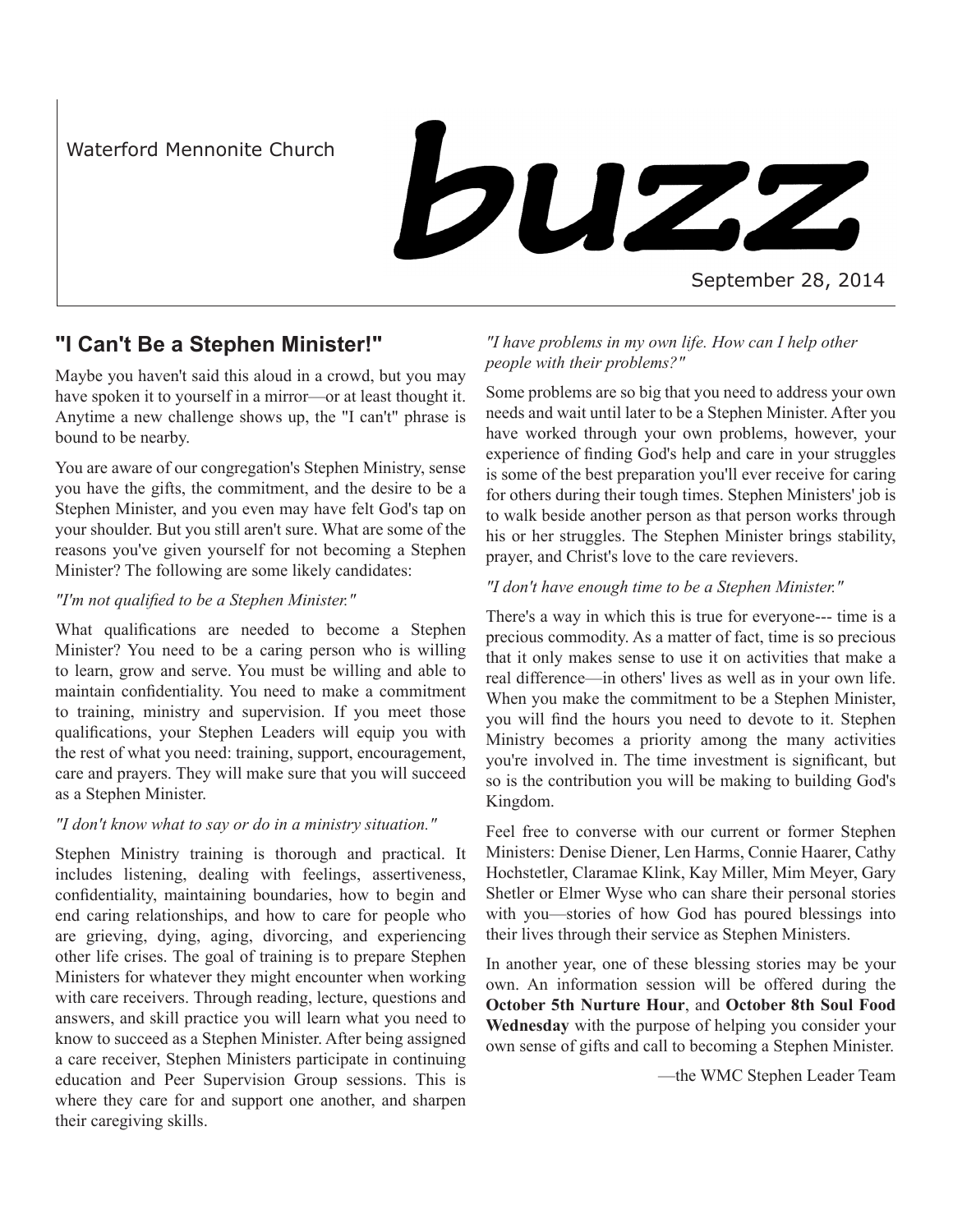Waterford Mennonite Church

buzz

### September 28, 2014

## **"I Can't Be a Stephen Minister!"**

Maybe you haven't said this aloud in a crowd, but you may have spoken it to yourself in a mirror—or at least thought it. Anytime a new challenge shows up, the "I can't" phrase is bound to be nearby.

You are aware of our congregation's Stephen Ministry, sense you have the gifts, the commitment, and the desire to be a Stephen Minister, and you even may have felt God's tap on your shoulder. But you still aren't sure. What are some of the reasons you've given yourself for not becoming a Stephen Minister? The following are some likely candidates:

### *"I'm not qualified to be a Stephen Minister."*

What qualifications are needed to become a Stephen Minister? You need to be a caring person who is willing to learn, grow and serve. You must be willing and able to maintain confidentiality. You need to make a commitment to training, ministry and supervision. If you meet those qualifications, your Stephen Leaders will equip you with the rest of what you need: training, support, encouragement, care and prayers. They will make sure that you will succeed as a Stephen Minister.

### *"I don't know what to say or do in a ministry situation."*

Stephen Ministry training is thorough and practical. It includes listening, dealing with feelings, assertiveness, confidentiality, maintaining boundaries, how to begin and end caring relationships, and how to care for people who are grieving, dying, aging, divorcing, and experiencing other life crises. The goal of training is to prepare Stephen Ministers for whatever they might encounter when working with care receivers. Through reading, lecture, questions and answers, and skill practice you will learn what you need to know to succeed as a Stephen Minister. After being assigned a care receiver, Stephen Ministers participate in continuing education and Peer Supervision Group sessions. This is where they care for and support one another, and sharpen their caregiving skills.

### *"I have problems in my own life. How can I help other people with their problems?"*

Some problems are so big that you need to address your own needs and wait until later to be a Stephen Minister. After you have worked through your own problems, however, your experience of finding God's help and care in your struggles is some of the best preparation you'll ever receive for caring for others during their tough times. Stephen Ministers' job is to walk beside another person as that person works through his or her struggles. The Stephen Minister brings stability, prayer, and Christ's love to the care revievers.

### *"I don't have enough time to be a Stephen Minister."*

There's a way in which this is true for everyone--- time is a precious commodity. As a matter of fact, time is so precious that it only makes sense to use it on activities that make a real difference—in others' lives as well as in your own life. When you make the commitment to be a Stephen Minister, you will find the hours you need to devote to it. Stephen Ministry becomes a priority among the many activities you're involved in. The time investment is significant, but so is the contribution you will be making to building God's Kingdom.

Feel free to converse with our current or former Stephen Ministers: Denise Diener, Len Harms, Connie Haarer, Cathy Hochstetler, Claramae Klink, Kay Miller, Mim Meyer, Gary Shetler or Elmer Wyse who can share their personal stories with you—stories of how God has poured blessings into their lives through their service as Stephen Ministers.

In another year, one of these blessing stories may be your own. An information session will be offered during the **October 5th Nurture Hour**, and **October 8th Soul Food Wednesday** with the purpose of helping you consider your own sense of gifts and call to becoming a Stephen Minister.

—the WMC Stephen Leader Team